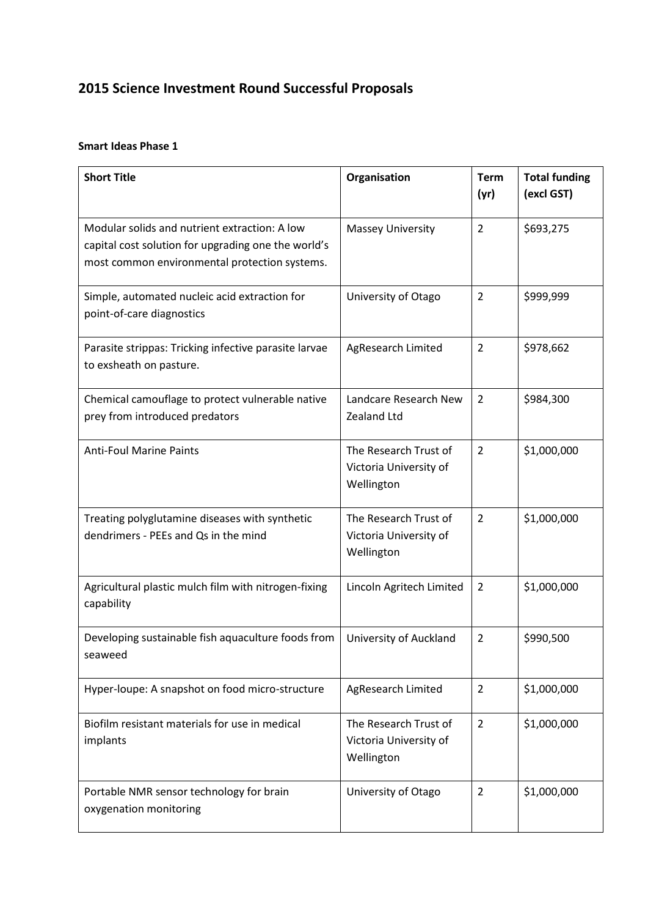# **2015 Science Investment Round Successful Proposals**

#### **Smart Ideas Phase 1**

| <b>Short Title</b>                                                                                                                                    | Organisation                                                  | <b>Term</b><br>(yr) | <b>Total funding</b><br>(excl GST) |
|-------------------------------------------------------------------------------------------------------------------------------------------------------|---------------------------------------------------------------|---------------------|------------------------------------|
| Modular solids and nutrient extraction: A low<br>capital cost solution for upgrading one the world's<br>most common environmental protection systems. | <b>Massey University</b>                                      | $\overline{2}$      | \$693,275                          |
| Simple, automated nucleic acid extraction for<br>point-of-care diagnostics                                                                            | University of Otago                                           | $\overline{2}$      | \$999,999                          |
| Parasite strippas: Tricking infective parasite larvae<br>to exsheath on pasture.                                                                      | AgResearch Limited                                            | $\overline{2}$      | \$978,662                          |
| Chemical camouflage to protect vulnerable native<br>prey from introduced predators                                                                    | Landcare Research New<br>Zealand Ltd                          | $\overline{2}$      | \$984,300                          |
| <b>Anti-Foul Marine Paints</b>                                                                                                                        | The Research Trust of<br>Victoria University of<br>Wellington | $\overline{2}$      | \$1,000,000                        |
| Treating polyglutamine diseases with synthetic<br>dendrimers - PEEs and Qs in the mind                                                                | The Research Trust of<br>Victoria University of<br>Wellington | $\overline{2}$      | \$1,000,000                        |
| Agricultural plastic mulch film with nitrogen-fixing<br>capability                                                                                    | Lincoln Agritech Limited                                      | $\overline{2}$      | \$1,000,000                        |
| Developing sustainable fish aquaculture foods from<br>seaweed                                                                                         | University of Auckland                                        | $\overline{2}$      | \$990,500                          |
| Hyper-loupe: A snapshot on food micro-structure                                                                                                       | AgResearch Limited                                            | $\overline{2}$      | \$1,000,000                        |
| Biofilm resistant materials for use in medical<br>implants                                                                                            | The Research Trust of<br>Victoria University of<br>Wellington | $\overline{2}$      | \$1,000,000                        |
| Portable NMR sensor technology for brain<br>oxygenation monitoring                                                                                    | University of Otago                                           | $\overline{2}$      | \$1,000,000                        |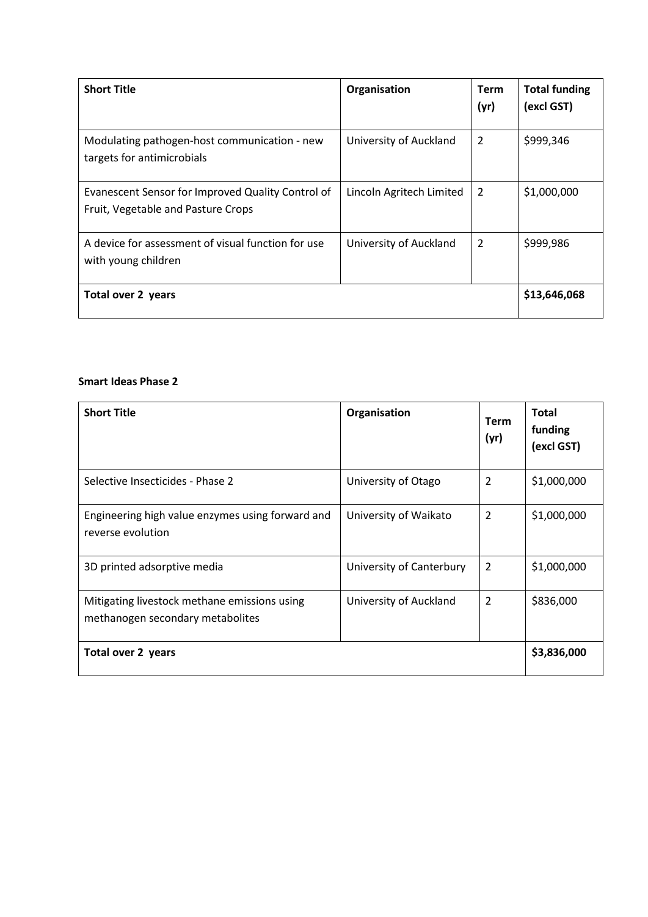| <b>Short Title</b>                                                                      | Organisation             | <b>Term</b><br>(yr) | <b>Total funding</b><br>(excl GST) |
|-----------------------------------------------------------------------------------------|--------------------------|---------------------|------------------------------------|
| Modulating pathogen-host communication - new<br>targets for antimicrobials              | University of Auckland   | $\overline{2}$      | \$999,346                          |
| Evanescent Sensor for Improved Quality Control of<br>Fruit, Vegetable and Pasture Crops | Lincoln Agritech Limited | $\overline{2}$      | \$1,000,000                        |
| A device for assessment of visual function for use<br>with young children               | University of Auckland   | 2                   | \$999,986                          |
| Total over 2 years                                                                      |                          |                     | \$13,646,068                       |

#### **Smart Ideas Phase 2**

| <b>Short Title</b>                                                               | Organisation             | <b>Term</b><br>(yr) | <b>Total</b><br>funding<br>(excl GST) |
|----------------------------------------------------------------------------------|--------------------------|---------------------|---------------------------------------|
| Selective Insecticides - Phase 2                                                 | University of Otago      | 2                   | \$1,000,000                           |
| Engineering high value enzymes using forward and<br>reverse evolution            | University of Waikato    | $\overline{2}$      | \$1,000,000                           |
| 3D printed adsorptive media                                                      | University of Canterbury | 2                   | \$1,000,000                           |
| Mitigating livestock methane emissions using<br>methanogen secondary metabolites | University of Auckland   | 2                   | \$836,000                             |
| Total over 2 years                                                               |                          |                     | \$3,836,000                           |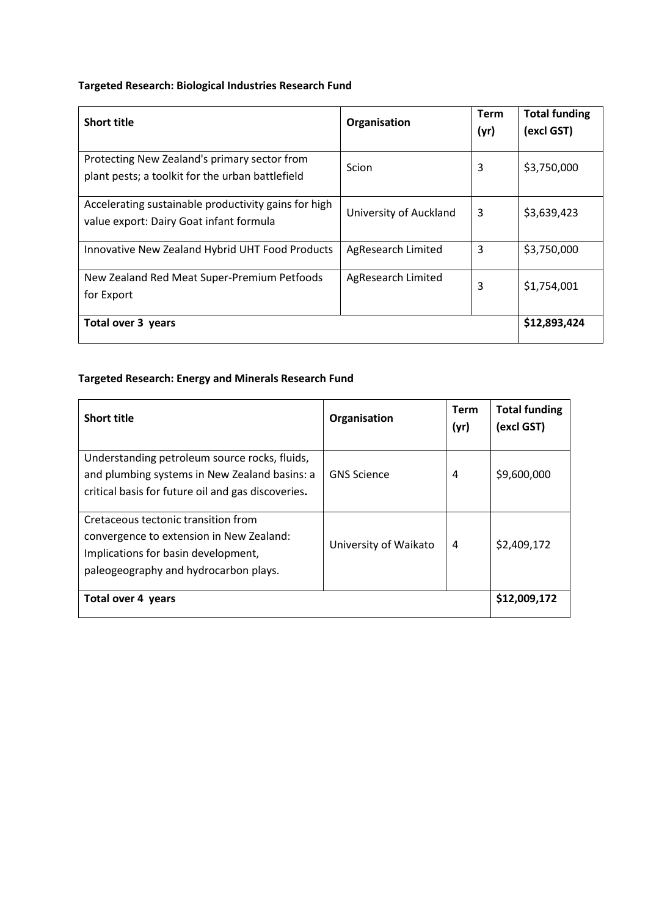# **Targeted Research: Biological Industries Research Fund**

| <b>Short title</b>                                                                               | Organisation           | <b>Term</b><br>(yr) | <b>Total funding</b><br>(excl GST) |
|--------------------------------------------------------------------------------------------------|------------------------|---------------------|------------------------------------|
| Protecting New Zealand's primary sector from<br>plant pests; a toolkit for the urban battlefield | Scion                  | 3                   | \$3,750,000                        |
| Accelerating sustainable productivity gains for high<br>value export: Dairy Goat infant formula  | University of Auckland | 3                   | \$3,639,423                        |
| Innovative New Zealand Hybrid UHT Food Products                                                  | AgResearch Limited     | 3                   | \$3,750,000                        |
| New Zealand Red Meat Super-Premium Petfoods<br>for Export                                        | AgResearch Limited     | 3                   | \$1,754,001                        |
| Total over 3 years                                                                               |                        |                     | \$12,893,424                       |

# **Targeted Research: Energy and Minerals Research Fund**

| <b>Short title</b>                                                                                                                                              | Organisation          | <b>Term</b><br>(yr) | <b>Total funding</b><br>(excl GST) |
|-----------------------------------------------------------------------------------------------------------------------------------------------------------------|-----------------------|---------------------|------------------------------------|
| Understanding petroleum source rocks, fluids,<br>and plumbing systems in New Zealand basins: a<br>critical basis for future oil and gas discoveries.            | <b>GNS Science</b>    | 4                   | \$9,600,000                        |
| Cretaceous tectonic transition from<br>convergence to extension in New Zealand:<br>Implications for basin development,<br>paleogeography and hydrocarbon plays. | University of Waikato | 4                   | \$2,409,172                        |
| Total over 4 years                                                                                                                                              |                       |                     | \$12,009,172                       |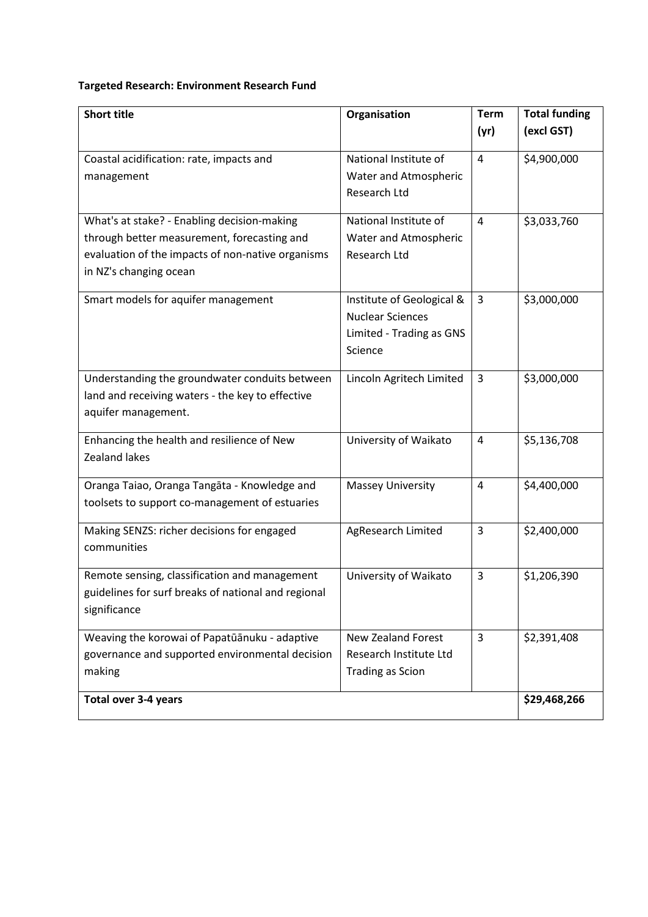#### **Targeted Research: Environment Research Fund**

| <b>Short title</b>                                                                                                                                                        | Organisation                                                                                | <b>Term</b><br>(yr) | <b>Total funding</b><br>(excl GST) |
|---------------------------------------------------------------------------------------------------------------------------------------------------------------------------|---------------------------------------------------------------------------------------------|---------------------|------------------------------------|
| Coastal acidification: rate, impacts and<br>management                                                                                                                    | National Institute of<br>Water and Atmospheric<br>Research Ltd                              | $\overline{4}$      | \$4,900,000                        |
| What's at stake? - Enabling decision-making<br>through better measurement, forecasting and<br>evaluation of the impacts of non-native organisms<br>in NZ's changing ocean | National Institute of<br>Water and Atmospheric<br><b>Research Ltd</b>                       | $\overline{4}$      | \$3,033,760                        |
| Smart models for aquifer management                                                                                                                                       | Institute of Geological &<br><b>Nuclear Sciences</b><br>Limited - Trading as GNS<br>Science | 3                   | \$3,000,000                        |
| Understanding the groundwater conduits between<br>land and receiving waters - the key to effective<br>aquifer management.                                                 | Lincoln Agritech Limited                                                                    | 3                   | \$3,000,000                        |
| Enhancing the health and resilience of New<br>Zealand lakes                                                                                                               | University of Waikato                                                                       | 4                   | \$5,136,708                        |
| Oranga Taiao, Oranga Tangāta - Knowledge and<br>toolsets to support co-management of estuaries                                                                            | <b>Massey University</b>                                                                    | $\overline{4}$      | \$4,400,000                        |
| Making SENZS: richer decisions for engaged<br>communities                                                                                                                 | AgResearch Limited                                                                          | 3                   | \$2,400,000                        |
| Remote sensing, classification and management<br>guidelines for surf breaks of national and regional<br>significance                                                      | University of Waikato                                                                       | 3                   | \$1,206,390                        |
| Weaving the korowai of Papatūānuku - adaptive<br>governance and supported environmental decision<br>making                                                                | <b>New Zealand Forest</b><br>Research Institute Ltd<br><b>Trading as Scion</b>              | $\overline{3}$      | \$2,391,408                        |
| <b>Total over 3-4 years</b>                                                                                                                                               |                                                                                             |                     | \$29,468,266                       |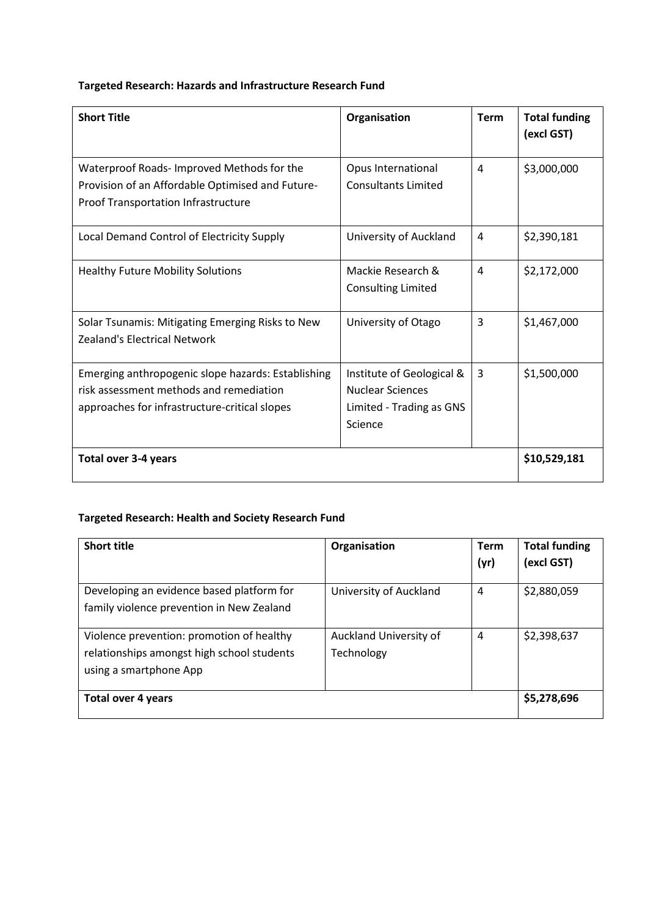# **Targeted Research: Hazards and Infrastructure Research Fund**

| <b>Short Title</b>                                                                                                                             | Organisation                                                                                | <b>Term</b> | <b>Total funding</b><br>(excl GST) |
|------------------------------------------------------------------------------------------------------------------------------------------------|---------------------------------------------------------------------------------------------|-------------|------------------------------------|
| Waterproof Roads- Improved Methods for the<br>Provision of an Affordable Optimised and Future-<br><b>Proof Transportation Infrastructure</b>   | Opus International<br><b>Consultants Limited</b>                                            | 4           | \$3,000,000                        |
| Local Demand Control of Electricity Supply                                                                                                     | University of Auckland                                                                      | 4           | \$2,390,181                        |
| <b>Healthy Future Mobility Solutions</b>                                                                                                       | Mackie Research &<br><b>Consulting Limited</b>                                              | 4           | \$2,172,000                        |
| Solar Tsunamis: Mitigating Emerging Risks to New<br><b>Zealand's Electrical Network</b>                                                        | University of Otago                                                                         | 3           | \$1,467,000                        |
| Emerging anthropogenic slope hazards: Establishing<br>risk assessment methods and remediation<br>approaches for infrastructure-critical slopes | Institute of Geological &<br><b>Nuclear Sciences</b><br>Limited - Trading as GNS<br>Science | 3           | \$1,500,000                        |
| Total over 3-4 years                                                                                                                           |                                                                                             |             | \$10,529,181                       |

#### **Targeted Research: Health and Society Research Fund**

| <b>Short title</b>                                                                                                | Organisation                         | <b>Term</b><br>(yr) | <b>Total funding</b><br>(excl GST) |
|-------------------------------------------------------------------------------------------------------------------|--------------------------------------|---------------------|------------------------------------|
| Developing an evidence based platform for<br>family violence prevention in New Zealand                            | University of Auckland               | 4                   | \$2,880,059                        |
| Violence prevention: promotion of healthy<br>relationships amongst high school students<br>using a smartphone App | Auckland University of<br>Technology | 4                   | \$2,398,637                        |
| <b>Total over 4 years</b>                                                                                         |                                      |                     | \$5,278,696                        |